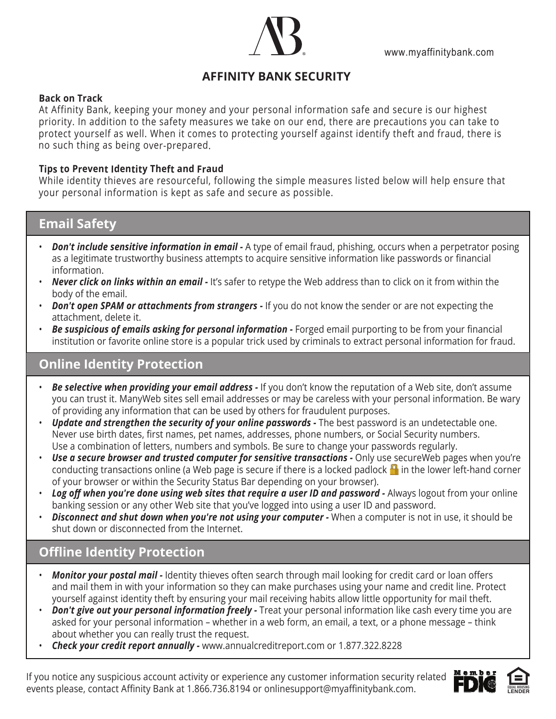

# **AFFINITY BANK SECURITY**

#### **Back on Track**

At Affinity Bank, keeping your money and your personal information safe and secure is our highest priority. In addition to the safety measures we take on our end, there are precautions you can take to protect yourself as well. When it comes to protecting yourself against identify theft and fraud, there is no such thing as being over-prepared.

#### **Tips to Prevent Identity Theft and Fraud**

While identity thieves are resourceful, following the simple measures listed below will help ensure that your personal information is kept as safe and secure as possible.

### **Email Safety**

- *Don't include sensitive information in email* A type of email fraud, phishing, occurs when a perpetrator posing as a legitimate trustworthy business attempts to acquire sensitive information like passwords or financial information.
- *Never click on links within an email -* It's safer to retype the Web address than to click on it from within the body of the email.
- *Don't open SPAM or attachments from strangers* If you do not know the sender or are not expecting the attachment, delete it.
- *Be suspicious of emails asking for personal information -* Forged email purporting to be from your financial institution or favorite online store is a popular trick used by criminals to extract personal information for fraud.

### **Online Identity Protection**

- *Be selective when providing your email address -* If you don't know the reputation of a Web site, don't assume you can trust it. ManyWeb sites sell email addresses or may be careless with your personal information. Be wary of providing any information that can be used by others for fraudulent purposes. •
- *Update and strengthen the security of your online passwords* The best password is an undetectable one. Never use birth dates, first names, pet names, addresses, phone numbers, or Social Security numbers. Use a combination of letters, numbers and symbols. Be sure to change your passwords regularly.
- *Use a secure browser and trusted computer for sensitive transactions -* Only use secureWeb pages when you're conducting transactions online (a Web page is secure if there is a locked padlock  $\blacksquare$  in the lower left-hand corner of your browser or within the Security Status Bar depending on your browser).
- *Log off when you're done using web sites that require a user ID and password -* Always logout from your online banking session or any other Web site that you've logged into using a user ID and password.
- *Disconnect and shut down when you're not using your computer -* When a computer is not in use, it should be shut down or disconnected from the Internet. •

## **Offline Identity Protection**

- *Monitor your postal mail -* Identity thieves often search through mail looking for credit card or loan offers and mail them in with your information so they can make purchases using your name and credit line. Protect yourself against identity theft by ensuring your mail receiving habits allow little opportunity for mail theft. •
- *Don't give out your personal information freely -* Treat your personal information like cash every time you are asked for your personal information – whether in a web form, an email, a text, or a phone message – think about whether you can really trust the request.
- *Check your credit report annually -* www.annualcreditreport.com or 1.877.322.8228 •

If you notice any suspicious account activity or experience any customer information security related events please, contact Affinity Bank at 1.866.736.8194 or onlinesupport@myaffinitybank.com.